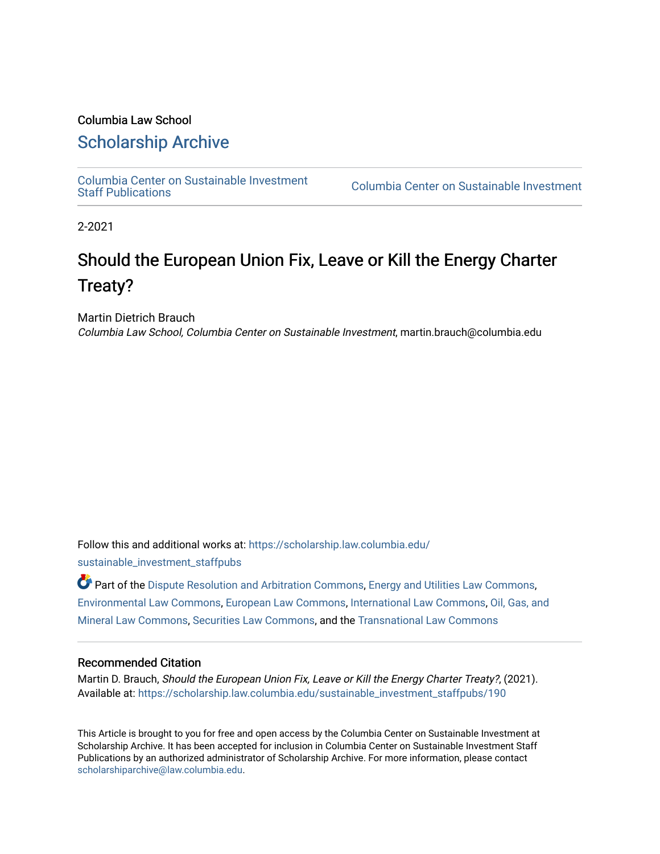#### Columbia Law School

### [Scholarship Archive](https://scholarship.law.columbia.edu/)

[Columbia Center on Sustainable Investment](https://scholarship.law.columbia.edu/sustainable_investment_staffpubs) 

Columbia Center on Sustainable Investment

2-2021

# Should the European Union Fix, Leave or Kill the Energy Charter Treaty?

Martin Dietrich Brauch

Columbia Law School, Columbia Center on Sustainable Investment, martin.brauch@columbia.edu

Follow this and additional works at: [https://scholarship.law.columbia.edu/](https://scholarship.law.columbia.edu/sustainable_investment_staffpubs?utm_source=scholarship.law.columbia.edu%2Fsustainable_investment_staffpubs%2F190&utm_medium=PDF&utm_campaign=PDFCoverPages) [sustainable\\_investment\\_staffpubs](https://scholarship.law.columbia.edu/sustainable_investment_staffpubs?utm_source=scholarship.law.columbia.edu%2Fsustainable_investment_staffpubs%2F190&utm_medium=PDF&utm_campaign=PDFCoverPages)

Part of the [Dispute Resolution and Arbitration Commons,](http://network.bepress.com/hgg/discipline/890?utm_source=scholarship.law.columbia.edu%2Fsustainable_investment_staffpubs%2F190&utm_medium=PDF&utm_campaign=PDFCoverPages) [Energy and Utilities Law Commons](http://network.bepress.com/hgg/discipline/891?utm_source=scholarship.law.columbia.edu%2Fsustainable_investment_staffpubs%2F190&utm_medium=PDF&utm_campaign=PDFCoverPages), [Environmental Law Commons](http://network.bepress.com/hgg/discipline/599?utm_source=scholarship.law.columbia.edu%2Fsustainable_investment_staffpubs%2F190&utm_medium=PDF&utm_campaign=PDFCoverPages), [European Law Commons,](http://network.bepress.com/hgg/discipline/1084?utm_source=scholarship.law.columbia.edu%2Fsustainable_investment_staffpubs%2F190&utm_medium=PDF&utm_campaign=PDFCoverPages) [International Law Commons,](http://network.bepress.com/hgg/discipline/609?utm_source=scholarship.law.columbia.edu%2Fsustainable_investment_staffpubs%2F190&utm_medium=PDF&utm_campaign=PDFCoverPages) [Oil, Gas, and](http://network.bepress.com/hgg/discipline/864?utm_source=scholarship.law.columbia.edu%2Fsustainable_investment_staffpubs%2F190&utm_medium=PDF&utm_campaign=PDFCoverPages)  [Mineral Law Commons](http://network.bepress.com/hgg/discipline/864?utm_source=scholarship.law.columbia.edu%2Fsustainable_investment_staffpubs%2F190&utm_medium=PDF&utm_campaign=PDFCoverPages), [Securities Law Commons](http://network.bepress.com/hgg/discipline/619?utm_source=scholarship.law.columbia.edu%2Fsustainable_investment_staffpubs%2F190&utm_medium=PDF&utm_campaign=PDFCoverPages), and the [Transnational Law Commons](http://network.bepress.com/hgg/discipline/1123?utm_source=scholarship.law.columbia.edu%2Fsustainable_investment_staffpubs%2F190&utm_medium=PDF&utm_campaign=PDFCoverPages)

#### Recommended Citation

Martin D. Brauch, Should the European Union Fix, Leave or Kill the Energy Charter Treaty?, (2021). Available at: [https://scholarship.law.columbia.edu/sustainable\\_investment\\_staffpubs/190](https://scholarship.law.columbia.edu/sustainable_investment_staffpubs/190?utm_source=scholarship.law.columbia.edu%2Fsustainable_investment_staffpubs%2F190&utm_medium=PDF&utm_campaign=PDFCoverPages) 

This Article is brought to you for free and open access by the Columbia Center on Sustainable Investment at Scholarship Archive. It has been accepted for inclusion in Columbia Center on Sustainable Investment Staff Publications by an authorized administrator of Scholarship Archive. For more information, please contact [scholarshiparchive@law.columbia.edu](mailto:scholarshiparchive@law.columbia.edu).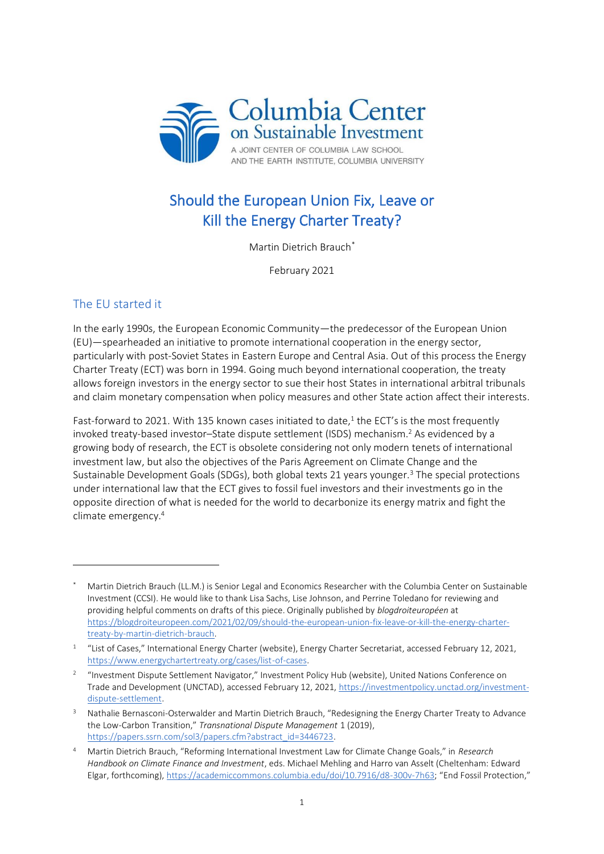

## Should the European Union Fix, Leave or Kill the Energy Charter Treaty?

Martin Dietrich Brauch\*

February 2021

### The EU started it

In the early 1990s, the European Economic Community—the predecessor of the European Union (EU)—spearheaded an initiative to promote international cooperation in the energy sector, particularly with post-Soviet States in Eastern Europe and Central Asia. Out of this process the Energy Charter Treaty (ECT) was born in 1994. Going much beyond international cooperation, the treaty allows foreign investors in the energy sector to sue their host States in international arbitral tribunals and claim monetary compensation when policy measures and other State action affect their interests.

Fast-forward to 2021. With 135 known cases initiated to date,<sup>1</sup> the ECT's is the most frequently invoked treaty-based investor-State dispute settlement (ISDS) mechanism.<sup>2</sup> As evidenced by a growing body of research, the ECT is obsolete considering not only modern tenets of international investment law, but also the objectives of the Paris Agreement on Climate Change and the Sustainable Development Goals (SDGs), both global texts 21 years younger.<sup>3</sup> The special protections under international law that the ECT gives to fossil fuel investors and their investments go in the opposite direction of what is needed for the world to decarbonize its energy matrix and fight the climate emergency.<sup>4</sup>

Martin Dietrich Brauch (LL.M.) is Senior Legal and Economics Researcher with the Columbia Center on Sustainable Investment (CCSI). He would like to thank Lisa Sachs, Lise Johnson, and Perrine Toledano for reviewing and providing helpful comments on drafts of this piece. Originally published by *blogdroiteuropéen* at [https://blogdroiteuropeen.com/2021/02/09/should-the-european-union-fix-leave-or-kill-the-energy-charter](https://blogdroiteuropeen.com/2021/02/09/should-the-european-union-fix-leave-or-kill-the-energy-charter-treaty-by-martin-dietrich-brauch)[treaty-by-martin-dietrich-brauch.](https://blogdroiteuropeen.com/2021/02/09/should-the-european-union-fix-leave-or-kill-the-energy-charter-treaty-by-martin-dietrich-brauch)

<sup>&</sup>lt;sup>1</sup> "List of Cases," International Energy Charter (website), Energy Charter Secretariat, accessed February 12, 2021, [https://www.energychartertreaty.org/cases/list-of-cases.](https://www.energychartertreaty.org/cases/list-of-cases/)

<sup>&</sup>lt;sup>2</sup> "Investment Dispute Settlement Navigator," Investment Policy Hub (website), United Nations Conference on Trade and Development (UNCTAD), accessed February 12, 2021, [https://investmentpolicy.unctad.org/investment](https://investmentpolicy.unctad.org/investment-dispute-settlement)[dispute-settlement.](https://investmentpolicy.unctad.org/investment-dispute-settlement)

<sup>3</sup> Nathalie Bernasconi-Osterwalder and Martin Dietrich Brauch, "Redesigning the Energy Charter Treaty to Advance the Low-Carbon Transition," *Transnational Dispute Management* 1 (2019), [https://papers.ssrn.com/sol3/papers.cfm?abstract\\_id=3446723.](https://papers.ssrn.com/sol3/papers.cfm?abstract_id=3446723)

<sup>4</sup> Martin Dietrich Brauch, "Reforming International Investment Law for Climate Change Goals," in *Research Handbook on Climate Finance and Investment*, eds. Michael Mehling and Harro van Asselt (Cheltenham: Edward Elgar, forthcoming)[, https://academiccommons.columbia.edu/doi/10.7916/d8-300v-7h63](https://academiccommons.columbia.edu/doi/10.7916/d8-300v-7h63); "End Fossil Protection,"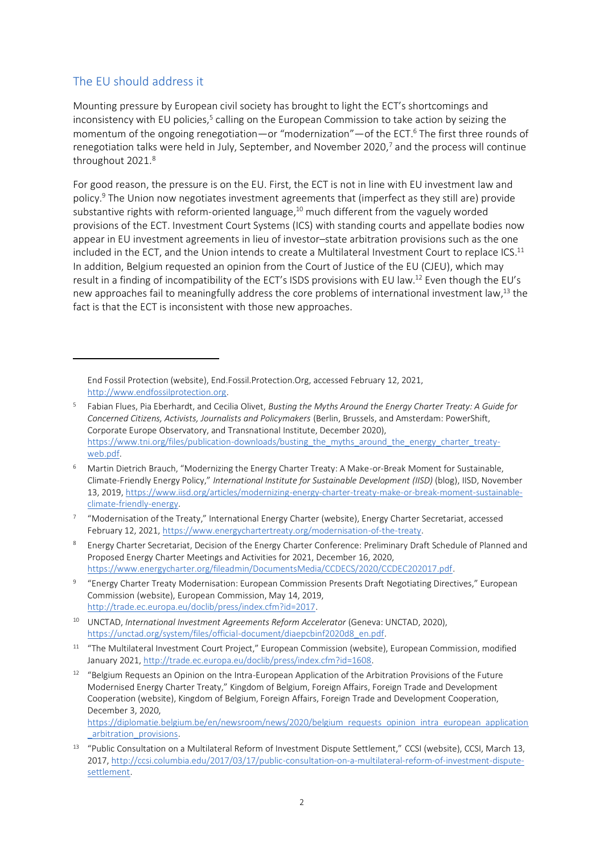#### The EU should address it

Mounting pressure by European civil society has brought to light the ECT's shortcomings and inconsistency with EU policies.<sup>5</sup> calling on the European Commission to take action by seizing the momentum of the ongoing renegotiation—or "modernization"—of the ECT. <sup>6</sup> The first three rounds of renegotiation talks were held in July, September, and November 2020, <sup>7</sup> and the process will continue throughout 2021. 8

For good reason, the pressure is on the EU. First, the ECT is not in line with EU investment law and policy. <sup>9</sup> The Union now negotiates investment agreements that (imperfect as they still are) provide substantive rights with reform-oriented language,<sup>10</sup> much different from the vaguely worded provisions of the ECT. Investment Court Systems (ICS) with standing courts and appellate bodies now appear in EU investment agreements in lieu of investor–state arbitration provisions such as the one included in the ECT, and the Union intends to create a Multilateral Investment Court to replace ICS.<sup>11</sup> In addition, Belgium requested an opinion from the Court of Justice of the EU (CJEU), which may result in a finding of incompatibility of the ECT's ISDS provisions with EU law.<sup>12</sup> Even though the EU's new approaches fail to meaningfully address the core problems of international investment law,<sup>13</sup> the fact is that the ECT is inconsistent with those new approaches.

[https://diplomatie.belgium.be/en/newsroom/news/2020/belgium\\_requests\\_opinion\\_intra\\_european\\_application](https://diplomatie.belgium.be/en/newsroom/news/2020/belgium_requests_opinion_intra_european_application_arbitration_provisions) [\\_arbitration\\_provisions.](https://diplomatie.belgium.be/en/newsroom/news/2020/belgium_requests_opinion_intra_european_application_arbitration_provisions)

End Fossil Protection (website), End.Fossil.Protection.Org, accessed February 12, 2021, [http://www.endfossilprotection.org.](http://www.endfossilprotection.org/)

<sup>5</sup> Fabian Flues, Pia Eberhardt, and Cecilia Olivet, *Busting the Myths Around the Energy Charter Treaty: A Guide for Concerned Citizens, Activists, Journalists and Policymakers* (Berlin, Brussels, and Amsterdam: PowerShift, Corporate Europe Observatory, and Transnational Institute, December 2020), [https://www.tni.org/files/publication-downloads/busting\\_the\\_myths\\_around\\_the\\_energy\\_charter\\_treaty](https://www.tni.org/files/publication-downloads/busting_the_myths_around_the_energy_charter_treaty-web.pdf)[web.pdf.](https://www.tni.org/files/publication-downloads/busting_the_myths_around_the_energy_charter_treaty-web.pdf)

<sup>6</sup> Martin Dietrich Brauch, "Modernizing the Energy Charter Treaty: A Make-or-Break Moment for Sustainable, Climate-Friendly Energy Policy," *International Institute for Sustainable Development (IISD)* (blog), IISD, November 13, 2019, [https://www.iisd.org/articles/modernizing-energy-charter-treaty-make-or-break-moment-sustainable](https://www.iisd.org/articles/modernizing-energy-charter-treaty-make-or-break-moment-sustainable-climate-friendly-energy)[climate-friendly-energy.](https://www.iisd.org/articles/modernizing-energy-charter-treaty-make-or-break-moment-sustainable-climate-friendly-energy)

<sup>7</sup> "Modernisation of the Treaty," International Energy Charter (website), Energy Charter Secretariat, accessed February 12, 2021[, https://www.energychartertreaty.org/modernisation-of-the-treaty.](https://www.energychartertreaty.org/modernisation-of-the-treaty)

<sup>8</sup> Energy Charter Secretariat, Decision of the Energy Charter Conference: Preliminary Draft Schedule of Planned and Proposed Energy Charter Meetings and Activities for 2021, December 16, 2020, [https://www.energycharter.org/fileadmin/DocumentsMedia/CCDECS/2020/CCDEC202017.pdf.](https://www.energycharter.org/fileadmin/DocumentsMedia/CCDECS/2020/CCDEC202017.pdf)

<sup>9</sup> "Energy Charter Treaty Modernisation: European Commission Presents Draft Negotiating Directives," European Commission (website), European Commission, May 14, 2019, [http://trade.ec.europa.eu/doclib/press/index.cfm?id=2017.](http://trade.ec.europa.eu/doclib/press/index.cfm?id=2017)

<sup>10</sup> UNCTAD, *International Investment Agreements Reform Accelerator* (Geneva: UNCTAD, 2020), [https://unctad.org/system/files/official-document/diaepcbinf2020d8\\_en.pdf.](https://unctad.org/system/files/official-document/diaepcbinf2020d8_en.pdf)

<sup>11</sup> "The Multilateral Investment Court Project," European Commission (website), European Commission, modified January 2021[, http://trade.ec.europa.eu/doclib/press/index.cfm?id=1608.](http://trade.ec.europa.eu/doclib/press/index.cfm?id=1608) 

<sup>&</sup>lt;sup>12</sup> "Belgium Requests an Opinion on the Intra-European Application of the Arbitration Provisions of the Future Modernised Energy Charter Treaty," Kingdom of Belgium, Foreign Affairs, Foreign Trade and Development Cooperation (website), Kingdom of Belgium, Foreign Affairs, Foreign Trade and Development Cooperation, December 3, 2020,

<sup>&</sup>lt;sup>13</sup> "Public Consultation on a Multilateral Reform of Investment Dispute Settlement," CCSI (website), CCSI, March 13, 2017, [http://ccsi.columbia.edu/2017/03/17/public-consultation-on-a-multilateral-reform-of-investment-dispute](http://ccsi.columbia.edu/2017/03/17/public-consultation-on-a-multilateral-reform-of-investment-dispute-settlement)[settlement.](http://ccsi.columbia.edu/2017/03/17/public-consultation-on-a-multilateral-reform-of-investment-dispute-settlement)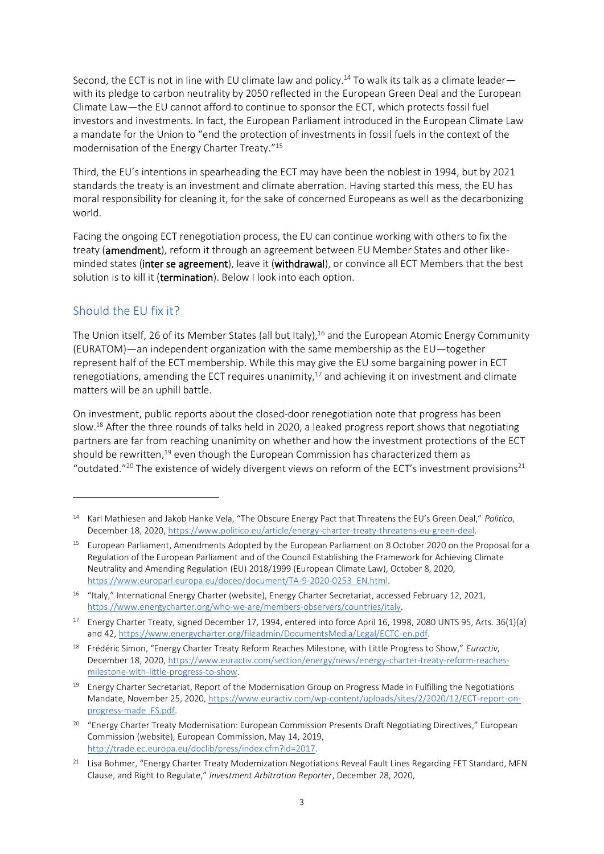Second, the ECT is not in line with EU climate law and policy.<sup>14</sup> To walk its talk as a climate leaderwith its pledge to carbon neutrality by 2050 reflected in the European Green Deal and the European Climate Law—the EU cannot afford to continue to sponsor the ECT, which protects fossil fuel investors and investments. In fact, the European Parliament introduced in the European Climate Law a mandate for the Union to "end the protection of investments in fossil fuels in the context of the modernisation of the Energy Charter Treaty."<sup>15</sup>

Third, the EU's intentions in spearheading the ECT may have been the noblest in 1994, but by 2021 standards the treaty is an investment and climate aberration. Having started this mess, the EU has moral responsibility for cleaning it, for the sake of concerned Europeans as well as the decarbonizing world.

Facing the ongoing ECT renegotiation process, the EU can continue working with others to fix the treaty (**amendment**), reform it through an agreement between EU Member States and other likeminded states (inter se agreement), leave it (withdrawal), or convince all ECT Members that the best solution is to kill it (termination). Below I look into each option.

### Should the EU fix it?

The Union itself, 26 of its Member States (all but Italy),<sup>16</sup> and the European Atomic Energy Community (EURATOM)—an independent organization with the same membership as the EU—together represent half of the ECT membership. While this may give the EU some bargaining power in ECT renegotiations, amending the ECT requires unanimity,<sup>17</sup> and achieving it on investment and climate matters will be an uphill battle.

On investment, public reports about the closed-door renegotiation note that progress has been slow.<sup>18</sup> After the three rounds of talks held in 2020, a leaked progress report shows that negotiating partners are far from reaching unanimity on whether and how the investment protections of the ECT should be rewritten,<sup>19</sup> even though the European Commission has characterized them as "outdated."<sup>20</sup> The existence of widely divergent views on reform of the ECT's investment provisions<sup>21</sup>

<sup>14</sup> Karl Mathiesen and Jakob Hanke Vela, "The Obscure Energy Pact that Threatens the EU's Green Deal," *Politico*, December 18, 2020, [https://www.politico.eu/article/energy-charter-treaty-threatens-eu-green-deal.](https://www.politico.eu/article/energy-charter-treaty-threatens-eu-green-deal) 

<sup>&</sup>lt;sup>15</sup> European Parliament, Amendments Adopted by the European Parliament on 8 October 2020 on the Proposal for a Regulation of the European Parliament and of the Council Establishing the Framework for Achieving Climate Neutrality and Amending Regulation (EU) 2018/1999 (European Climate Law), October 8, 2020, [https://www.europarl.europa.eu/doceo/document/TA-9-2020-0253\\_EN.html.](https://www.europarl.europa.eu/doceo/document/TA-9-2020-0253_EN.html) 

<sup>16</sup> "Italy," International Energy Charter (website), Energy Charter Secretariat, accessed February 12, 2021, [https://www.energycharter.org/who-we-are/members-observers/countries/italy.](https://www.energycharter.org/who-we-are/members-observers/countries/italy)

<sup>&</sup>lt;sup>17</sup> Energy Charter Treaty, signed December 17, 1994, entered into force April 16, 1998, 2080 UNTS 95, Arts. 36(1)(a) and 42, [https://www.energycharter.org/fileadmin/DocumentsMedia/Legal/ECTC-en.pdf.](https://www.energycharter.org/fileadmin/DocumentsMedia/Legal/ECTC-en.pdf)

<sup>18</sup> Frédéric Simon, "Energy Charter Treaty Reform Reaches Milestone, with Little Progress to Show," *Euractiv*, December 18, 2020, [https://www.euractiv.com/section/energy/news/energy-charter-treaty-reform-reaches](https://www.euractiv.com/section/energy/news/energy-charter-treaty-reform-reaches-milestone-with-little-progress-to-show)[milestone-with-little-progress-to-show.](https://www.euractiv.com/section/energy/news/energy-charter-treaty-reform-reaches-milestone-with-little-progress-to-show)

<sup>&</sup>lt;sup>19</sup> Energy Charter Secretariat, Report of the Modernisation Group on Progress Made in Fulfilling the Negotiations Mandate, November 25, 2020[, https://www.euractiv.com/wp-content/uploads/sites/2/2020/12/ECT-report-on](https://www.euractiv.com/wp-content/uploads/sites/2/2020/12/ECT-report-on-progress-made_FS.pdf)[progress-made\\_FS.pdf.](https://www.euractiv.com/wp-content/uploads/sites/2/2020/12/ECT-report-on-progress-made_FS.pdf)

<sup>&</sup>lt;sup>20</sup> "Energy Charter Treaty Modernisation: European Commission Presents Draft Negotiating Directives," European Commission (website), European Commission, May 14, 2019, [http://trade.ec.europa.eu/doclib/press/index.cfm?id=2017.](http://trade.ec.europa.eu/doclib/press/index.cfm?id=2017)

<sup>&</sup>lt;sup>21</sup> Lisa Bohmer, "Energy Charter Treaty Modernization Negotiations Reveal Fault Lines Regarding FET Standard, MFN Clause, and Right to Regulate," *Investment Arbitration Reporter*, December 28, 2020,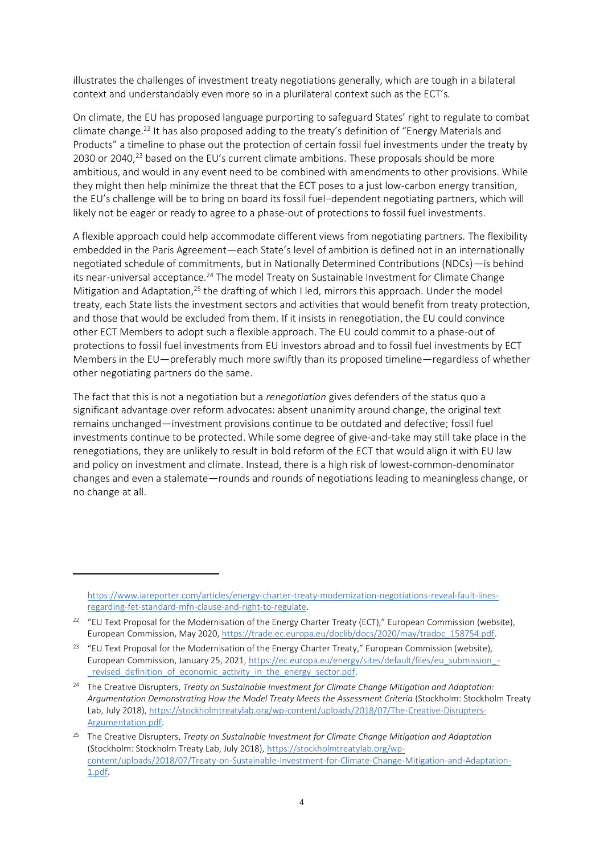illustrates the challenges of investment treaty negotiations generally, which are tough in a bilateral context and understandably even more so in a plurilateral context such as the ECT's.

On climate, the EU has proposed language purporting to safeguard States' right to regulate to combat climate change. <sup>22</sup> It has also proposed adding to the treaty's definition of "Energy Materials and Products" a timeline to phase out the protection of certain fossil fuel investments under the treaty by 2030 or 2040,<sup>23</sup> based on the EU's current climate ambitions. These proposals should be more ambitious, and would in any event need to be combined with amendments to other provisions. While they might then help minimize the threat that the ECT poses to a just low-carbon energy transition, the EU's challenge will be to bring on board its fossil fuel–dependent negotiating partners, which will likely not be eager or ready to agree to a phase-out of protections to fossil fuel investments.

A flexible approach could help accommodate different views from negotiating partners. The flexibility embedded in the Paris Agreement—each State's level of ambition is defined not in an internationally negotiated schedule of commitments, but in Nationally Determined Contributions (NDCs)—is behind its near-universal acceptance.<sup>24</sup> The model Treaty on Sustainable Investment for Climate Change Mitigation and Adaptation,<sup>25</sup> the drafting of which I led, mirrors this approach. Under the model treaty, each State lists the investment sectors and activities that would benefit from treaty protection, and those that would be excluded from them. If it insists in renegotiation, the EU could convince other ECT Members to adopt such a flexible approach. The EU could commit to a phase-out of protections to fossil fuel investments from EU investors abroad and to fossil fuel investments by ECT Members in the EU—preferably much more swiftly than its proposed timeline—regardless of whether other negotiating partners do the same.

The fact that this is not a negotiation but a *renegotiation* gives defenders of the status quo a significant advantage over reform advocates: absent unanimity around change, the original text remains unchanged—investment provisions continue to be outdated and defective; fossil fuel investments continue to be protected. While some degree of give-and-take may still take place in the renegotiations, they are unlikely to result in bold reform of the ECT that would align it with EU law and policy on investment and climate. Instead, there is a high risk of lowest-common-denominator changes and even a stalemate—rounds and rounds of negotiations leading to meaningless change, or no change at all.

[https://www.iareporter.com/articles/energy-charter-treaty-modernization-negotiations-reveal-fault-lines](https://www.iareporter.com/articles/energy-charter-treaty-modernization-negotiations-reveal-fault-lines-regarding-fet-standard-mfn-clause-and-right-to-regulate)[regarding-fet-standard-mfn-clause-and-right-to-regulate.](https://www.iareporter.com/articles/energy-charter-treaty-modernization-negotiations-reveal-fault-lines-regarding-fet-standard-mfn-clause-and-right-to-regulate)

<sup>&</sup>lt;sup>22</sup> "EU Text Proposal for the Modernisation of the Energy Charter Treaty (ECT)," European Commission (website), European Commission, May 2020[, https://trade.ec.europa.eu/doclib/docs/2020/may/tradoc\\_158754.pdf.](https://trade.ec.europa.eu/doclib/docs/2020/may/tradoc_158754.pdf) 

<sup>&</sup>lt;sup>23</sup> "EU Text Proposal for the Modernisation of the Energy Charter Treaty," European Commission (website), European Commission, January 25, 2021, [https://ec.europa.eu/energy/sites/default/files/eu\\_submission\\_](https://ec.europa.eu/energy/sites/default/files/eu_submission_-_revised_definition_of_economic_activity_in_the_energy_sector.pdf) revised definition of economic activity in the energy sector.pdf.

<sup>24</sup> The Creative Disrupters, *Treaty on Sustainable Investment for Climate Change Mitigation and Adaptation: Argumentation Demonstrating How the Model Treaty Meets the Assessment Criteria* (Stockholm: Stockholm Treaty Lab, July 2018), [https://stockholmtreatylab.org/wp-content/uploads/2018/07/The-Creative-Disrupters-](https://stockholmtreatylab.org/wp-content/uploads/2018/07/The-Creative-Disrupters-Argumentation.pdf)[Argumentation.pdf.](https://stockholmtreatylab.org/wp-content/uploads/2018/07/The-Creative-Disrupters-Argumentation.pdf)

<sup>25</sup> The Creative Disrupters, *Treaty on Sustainable Investment for Climate Change Mitigation and Adaptation* (Stockholm: Stockholm Treaty Lab, July 2018), [https://stockholmtreatylab.org/wp](https://stockholmtreatylab.org/wp-content/uploads/2018/07/Treaty-on-Sustainable-Investment-for-Climate-Change-Mitigation-and-Adaptation-1.pdf)[content/uploads/2018/07/Treaty-on-Sustainable-Investment-for-Climate-Change-Mitigation-and-Adaptation-](https://stockholmtreatylab.org/wp-content/uploads/2018/07/Treaty-on-Sustainable-Investment-for-Climate-Change-Mitigation-and-Adaptation-1.pdf)[1.pdf.](https://stockholmtreatylab.org/wp-content/uploads/2018/07/Treaty-on-Sustainable-Investment-for-Climate-Change-Mitigation-and-Adaptation-1.pdf)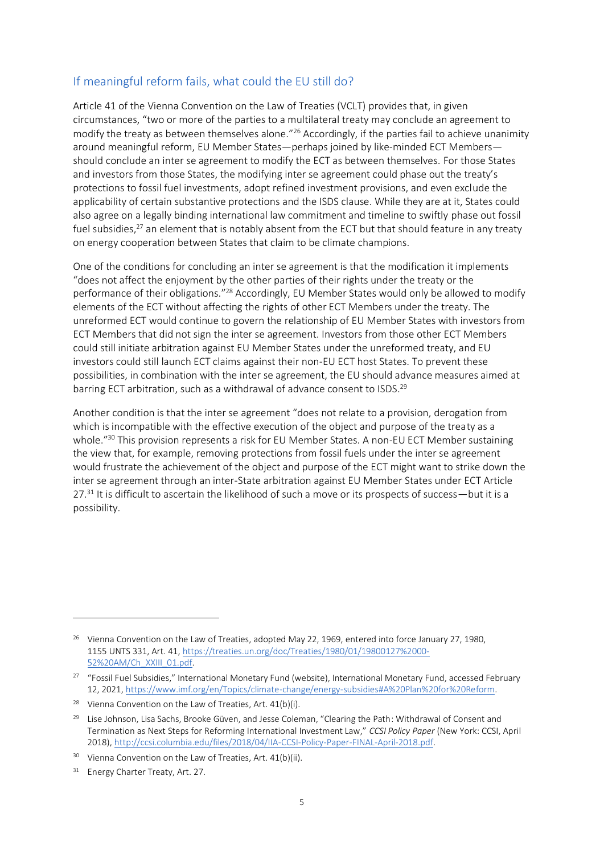#### If meaningful reform fails, what could the EU still do?

Article 41 of the Vienna Convention on the Law of Treaties (VCLT) provides that, in given circumstances, "two or more of the parties to a multilateral treaty may conclude an agreement to modify the treaty as between themselves alone."<sup>26</sup> Accordingly, if the parties fail to achieve unanimity around meaningful reform, EU Member States—perhaps joined by like-minded ECT Members should conclude an inter se agreement to modify the ECT as between themselves. For those States and investors from those States, the modifying inter se agreement could phase out the treaty's protections to fossil fuel investments, adopt refined investment provisions, and even exclude the applicability of certain substantive protections and the ISDS clause. While they are at it, States could also agree on a legally binding international law commitment and timeline to swiftly phase out fossil fuel subsidies,<sup>27</sup> an element that is notably absent from the ECT but that should feature in any treaty on energy cooperation between States that claim to be climate champions.

One of the conditions for concluding an inter se agreement is that the modification it implements "does not affect the enjoyment by the other parties of their rights under the treaty or the performance of their obligations."<sup>28</sup> Accordingly, EU Member States would only be allowed to modify elements of the ECT without affecting the rights of other ECT Members under the treaty. The unreformed ECT would continue to govern the relationship of EU Member States with investors from ECT Members that did not sign the inter se agreement. Investors from those other ECT Members could still initiate arbitration against EU Member States under the unreformed treaty, and EU investors could still launch ECT claims against their non-EU ECT host States. To prevent these possibilities, in combination with the inter se agreement, the EU should advance measures aimed at barring ECT arbitration, such as a withdrawal of advance consent to ISDS.<sup>29</sup>

Another condition is that the inter se agreement "does not relate to a provision, derogation from which is incompatible with the effective execution of the object and purpose of the treaty as a whole.<sup>"30</sup> This provision represents a risk for EU Member States. A non-EU ECT Member sustaining the view that, for example, removing protections from fossil fuels under the inter se agreement would frustrate the achievement of the object and purpose of the ECT might want to strike down the inter se agreement through an inter-State arbitration against EU Member States under ECT Article 27.<sup>31</sup> It is difficult to ascertain the likelihood of such a move or its prospects of success—but it is a possibility.

<sup>&</sup>lt;sup>26</sup> Vienna Convention on the Law of Treaties, adopted May 22, 1969, entered into force January 27, 1980, 1155 UNTS 331, Art. 41, [https://treaties.un.org/doc/Treaties/1980/01/19800127%2000-](https://treaties.un.org/doc/Treaties/1980/01/19800127%2000-52%20AM/Ch_XXIII_01.pdf) [52%20AM/Ch\\_XXIII\\_01.pdf.](https://treaties.un.org/doc/Treaties/1980/01/19800127%2000-52%20AM/Ch_XXIII_01.pdf) 

<sup>&</sup>lt;sup>27</sup> "Fossil Fuel Subsidies," International Monetary Fund (website), International Monetary Fund, accessed February 12, 2021, [https://www.imf.org/en/Topics/climate-change/energy-subsidies#A%20Plan%20for%20Reform.](https://www.imf.org/en/Topics/climate-change/energy-subsidies#A%20Plan%20for%20Reform)

<sup>&</sup>lt;sup>28</sup> Vienna Convention on the Law of Treaties, Art.  $41(b)(i)$ .

<sup>&</sup>lt;sup>29</sup> Lise Johnson, Lisa Sachs, Brooke Güven, and Jesse Coleman, "Clearing the Path: Withdrawal of Consent and Termination as Next Steps for Reforming International Investment Law," *CCSI Policy Paper* (New York: CCSI, April 2018), [http://ccsi.columbia.edu/files/2018/04/IIA-CCSI-Policy-Paper-FINAL-April-2018.pdf.](http://ccsi.columbia.edu/files/2018/04/IIA-CCSI-Policy-Paper-FINAL-April-2018.pdf)

<sup>&</sup>lt;sup>30</sup> Vienna Convention on the Law of Treaties, Art. 41(b)(ii).

<sup>&</sup>lt;sup>31</sup> Energy Charter Treaty, Art. 27.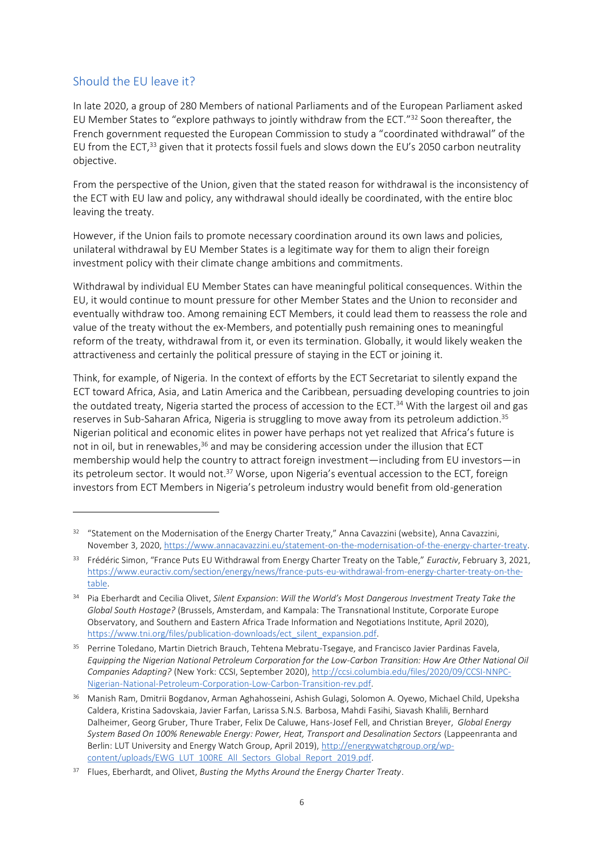#### Should the EU leave it?

In late 2020, a group of 280 Members of national Parliaments and of the European Parliament asked EU Member States to "explore pathways to jointly withdraw from the ECT."<sup>32</sup> Soon thereafter, the French government requested the European Commission to study a "coordinated withdrawal" of the EU from the ECT,<sup>33</sup> given that it protects fossil fuels and slows down the EU's 2050 carbon neutrality objective.

From the perspective of the Union, given that the stated reason for withdrawal is the inconsistency of the ECT with EU law and policy, any withdrawal should ideally be coordinated, with the entire bloc leaving the treaty.

However, if the Union fails to promote necessary coordination around its own laws and policies, unilateral withdrawal by EU Member States is a legitimate way for them to align their foreign investment policy with their climate change ambitions and commitments.

Withdrawal by individual EU Member States can have meaningful political consequences. Within the EU, it would continue to mount pressure for other Member States and the Union to reconsider and eventually withdraw too. Among remaining ECT Members, it could lead them to reassess the role and value of the treaty without the ex-Members, and potentially push remaining ones to meaningful reform of the treaty, withdrawal from it, or even its termination. Globally, it would likely weaken the attractiveness and certainly the political pressure of staying in the ECT or joining it.

Think, for example, of Nigeria. In the context of efforts by the ECT Secretariat to silently expand the ECT toward Africa, Asia, and Latin America and the Caribbean, persuading developing countries to join the outdated treaty. Nigeria started the process of accession to the ECT.<sup>34</sup> With the largest oil and gas reserves in Sub-Saharan Africa, Nigeria is struggling to move away from its petroleum addiction.<sup>35</sup> Nigerian political and economic elites in power have perhaps not yet realized that Africa's future is not in oil, but in renewables,<sup>36</sup> and may be considering accession under the illusion that ECT membership would help the country to attract foreign investment—including from EU investors—in its petroleum sector. It would not.<sup>37</sup> Worse, upon Nigeria's eventual accession to the ECT, foreign investors from ECT Members in Nigeria's petroleum industry would benefit from old-generation

<sup>&</sup>lt;sup>32</sup> "Statement on the Modernisation of the Energy Charter Treaty," Anna Cavazzini (website), Anna Cavazzini, November 3, 2020[, https://www.annacavazzini.eu/statement-on-the-modernisation-of-the-energy-charter-treaty.](https://www.annacavazzini.eu/statement-on-the-modernisation-of-the-energy-charter-treaty)

<sup>33</sup> Frédéric Simon, "France Puts EU Withdrawal from Energy Charter Treaty on the Table," *Euractiv*, February 3, 2021, [https://www.euractiv.com/section/energy/news/france-puts-eu-withdrawal-from-energy-charter-treaty-on-the](https://www.euractiv.com/section/energy/news/france-puts-eu-withdrawal-from-energy-charter-treaty-on-the-table)[table.](https://www.euractiv.com/section/energy/news/france-puts-eu-withdrawal-from-energy-charter-treaty-on-the-table)

<sup>34</sup> Pia Eberhardt and Cecilia Olivet, *Silent Expansion*: *Will the World's Most Dangerous Investment Treaty Take the Global South Hostage?* (Brussels, Amsterdam, and Kampala: The Transnational Institute, Corporate Europe Observatory, and Southern and Eastern Africa Trade Information and Negotiations Institute, April 2020), [https://www.tni.org/files/publication-downloads/ect\\_silent\\_expansion.pdf.](https://www.tni.org/files/publication-downloads/ect_silent_expansion.pdf) 

<sup>&</sup>lt;sup>35</sup> Perrine Toledano, Martin Dietrich Brauch, Tehtena Mebratu-Tsegaye, and Francisco Javier Pardinas Favela, *Equipping the Nigerian National Petroleum Corporation for the Low-Carbon Transition: How Are Other National Oil Companies Adapting?* (New York: CCSI, September 2020)[, http://ccsi.columbia.edu/files/2020/09/CCSI-NNPC-](http://ccsi.columbia.edu/files/2020/09/CCSI-NNPC-Nigerian-National-Petroleum-Corporation-Low-Carbon-Transition-rev.pdf)[Nigerian-National-Petroleum-Corporation-Low-Carbon-Transition-rev.pdf.](http://ccsi.columbia.edu/files/2020/09/CCSI-NNPC-Nigerian-National-Petroleum-Corporation-Low-Carbon-Transition-rev.pdf)

<sup>&</sup>lt;sup>36</sup> Manish Ram, Dmitrii Bogdanov, Arman Aghahosseini, Ashish Gulagi, Solomon A. Oyewo, Michael Child, Upeksha Caldera, Kristina Sadovskaia, Javier Farfan, Larissa S.N.S. Barbosa, Mahdi Fasihi, Siavash Khalili, Bernhard Dalheimer, Georg Gruber, Thure Traber, Felix De Caluwe, Hans-Josef Fell, and Christian Breyer, *Global Energy System Based On 100% Renewable Energy: Power, Heat, Transport and Desalination Sectors* (Lappeenranta and Berlin: LUT University and Energy Watch Group, April 2019), [http://energywatchgroup.org/wp](http://energywatchgroup.org/wp-content/uploads/EWG_LUT_100RE_All_Sectors_Global_Report_2019.pdf)[content/uploads/EWG\\_LUT\\_100RE\\_All\\_Sectors\\_Global\\_Report\\_2019.pdf.](http://energywatchgroup.org/wp-content/uploads/EWG_LUT_100RE_All_Sectors_Global_Report_2019.pdf)

<sup>37</sup> Flues, Eberhardt, and Olivet, *Busting the Myths Around the Energy Charter Treaty*.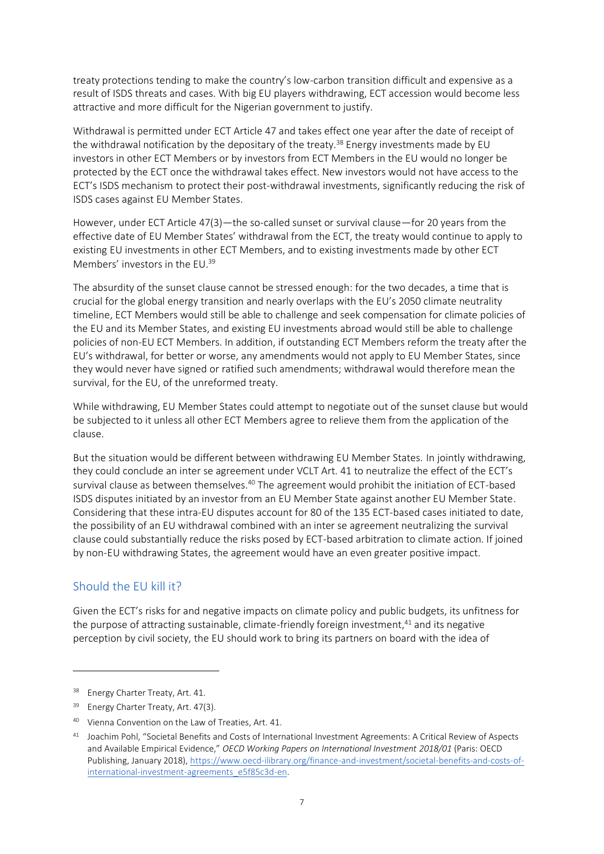treaty protections tending to make the country's low-carbon transition difficult and expensive as a result of ISDS threats and cases. With big EU players withdrawing, ECT accession would become less attractive and more difficult for the Nigerian government to justify.

Withdrawal is permitted under ECT Article 47 and takes effect one year after the date of receipt of the withdrawal notification by the depositary of the treaty.<sup>38</sup> Energy investments made by EU investors in other ECT Members or by investors from ECT Members in the EU would no longer be protected by the ECT once the withdrawal takes effect. New investors would not have access to the ECT's ISDS mechanism to protect their post-withdrawal investments, significantly reducing the risk of ISDS cases against EU Member States.

However, under ECT Article 47(3)—the so-called sunset or survival clause—for 20 years from the effective date of EU Member States' withdrawal from the ECT, the treaty would continue to apply to existing EU investments in other ECT Members, and to existing investments made by other ECT Members' investors in the EU. 39

The absurdity of the sunset clause cannot be stressed enough: for the two decades, a time that is crucial for the global energy transition and nearly overlaps with the EU's 2050 climate neutrality timeline, ECT Members would still be able to challenge and seek compensation for climate policies of the EU and its Member States, and existing EU investments abroad would still be able to challenge policies of non-EU ECT Members. In addition, if outstanding ECT Members reform the treaty after the EU's withdrawal, for better or worse, any amendments would not apply to EU Member States, since they would never have signed or ratified such amendments; withdrawal would therefore mean the survival, for the EU, of the unreformed treaty.

While withdrawing, EU Member States could attempt to negotiate out of the sunset clause but would be subjected to it unless all other ECT Members agree to relieve them from the application of the clause.

But the situation would be different between withdrawing EU Member States. In jointly withdrawing, they could conclude an inter se agreement under VCLT Art. 41 to neutralize the effect of the ECT's survival clause as between themselves.<sup>40</sup> The agreement would prohibit the initiation of ECT-based ISDS disputes initiated by an investor from an EU Member State against another EU Member State. Considering that these intra-EU disputes account for 80 of the 135 ECT-based cases initiated to date, the possibility of an EU withdrawal combined with an inter se agreement neutralizing the survival clause could substantially reduce the risks posed by ECT-based arbitration to climate action. If joined by non-EU withdrawing States, the agreement would have an even greater positive impact.

### Should the EU kill it?

Given the ECT's risks for and negative impacts on climate policy and public budgets, its unfitness for the purpose of attracting sustainable, climate-friendly foreign investment, <sup>41</sup> and its negative perception by civil society, the EU should work to bring its partners on board with the idea of

<sup>&</sup>lt;sup>38</sup> Energy Charter Treaty, Art. 41.

<sup>&</sup>lt;sup>39</sup> Energy Charter Treaty, Art. 47(3).

<sup>40</sup> Vienna Convention on the Law of Treaties, Art. 41.

<sup>41</sup> Joachim Pohl, "Societal Benefits and Costs of International Investment Agreements: A Critical Review of Aspects and Available Empirical Evidence," *OECD Working Papers on International Investment 2018/01* (Paris: OECD Publishing, January 2018)[, https://www.oecd-ilibrary.org/finance-and-investment/societal-benefits-and-costs-of](https://www.oecd-ilibrary.org/finance-and-investment/societal-benefits-and-costs-of-international-investment-agreements_e5f85c3d-en)[international-investment-agreements\\_e5f85c3d-en.](https://www.oecd-ilibrary.org/finance-and-investment/societal-benefits-and-costs-of-international-investment-agreements_e5f85c3d-en)